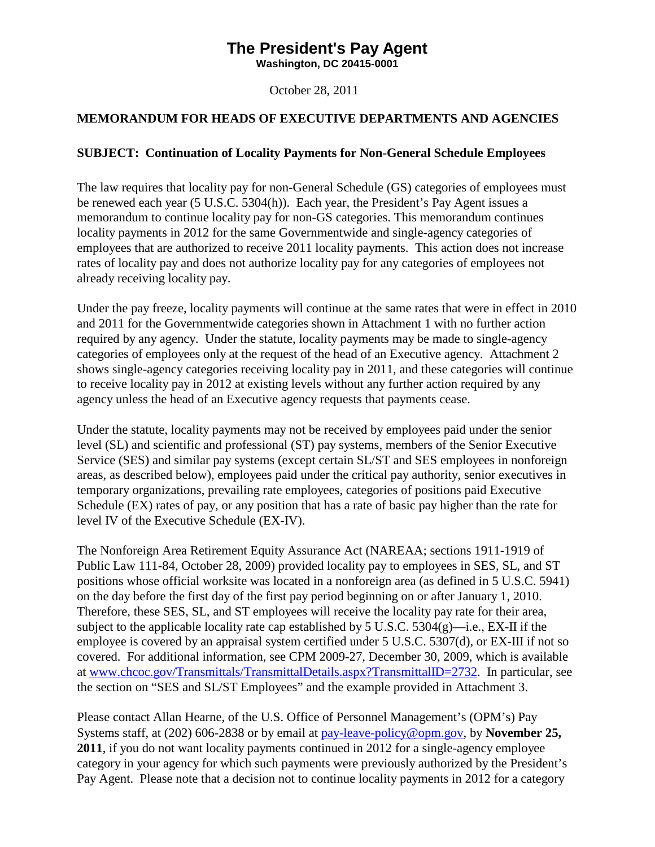# **The President's Pay Agent**

<span id="page-0-0"></span>**Washington, DC 20415-0001**

October 28, 2011

## **MEMORANDUM FOR HEADS OF EXECUTIVE DEPARTMENTS AND AGENCIES**

### **SUBJECT: Continuation of Locality Payments for Non-General Schedule Employees**

The law requires that locality pay for non-General Schedule (GS) categories of employees must be renewed each year (5 U.S.C. 5304(h)). Each year, the President's Pay Agent issues a memorandum to continue locality pay for non-GS categories. This memorandum continues locality payments in 2012 for the same Governmentwide and single-agency categories of employees that are authorized to receive 2011 locality payments. This action does not increase rates of locality pay and does not authorize locality pay for any categories of employees not already receiving locality pay.

Under the pay freeze, locality payments will continue at the same rates that were in effect in 2010 and 2011 for the Governmentwide categories shown in Attachment 1 with no further action required by any agency. Under the statute, locality payments may be made to single-agency categories of employees only at the request of the head of an Executive agency. Attachment 2 shows single-agency categories receiving locality pay in 2011, and these categories will continue to receive locality pay in 2012 at existing levels without any further action required by any agency unless the head of an Executive agency requests that payments cease.

Under the statute, locality payments may not be received by employees paid under the senior level (SL) and scientific and professional (ST) pay systems, members of the Senior Executive Service (SES) and similar pay systems (except certain SL/ST and SES employees in nonforeign areas, as described below), employees paid under the critical pay authority, senior executives in temporary organizations, prevailing rate employees, categories of positions paid Executive Schedule (EX) rates of pay, or any position that has a rate of basic pay higher than the rate for level IV of the Executive Schedule (EX-IV).

The Nonforeign Area Retirement Equity Assurance Act (NAREAA; sections 1911-1919 of Public Law 111-84, October 28, 2009) provided locality pay to employees in SES, SL, and ST positions whose official worksite was located in a nonforeign area (as defined in 5 U.S.C. 5941) on the day before the first day of the first pay period beginning on or after January 1, 2010. Therefore, these SES, SL, and ST employees will receive the locality pay rate for their area, subject to the applicable locality rate cap established by 5 U.S.C. 5304(g)—i.e., EX-II if the employee is covered by an appraisal system certified under 5 U.S.C. 5307(d), or EX-III if not so covered. For additional information, see CPM 2009-27, December 30, 2009, which is available at [www.chcoc.gov/Transmittals/TransmittalDetails.aspx?TransmittalID=2732.](http://www.chcoc.gov/Transmittals/TransmittalDetails.aspx?TransmittalID=2732) In particular, see the section on "SES and SL/ST Employees" and the example provided in Attachment 3.

Please contact Allan Hearne, of the U.S. Office of Personnel Management's (OPM's) Pay Systems staff, at (202) 606-2838 or by email at [pay-leave-policy@opm.gov,](mailto:pay-performance-policy@opm.gov) by **November 25, 2011**, if you do not want locality payments continued in 2012 for a single-agency employee category in your agency for which such payments were previously authorized by the President's Pay Agent. Please note that a decision not to continue locality payments in 2012 for a category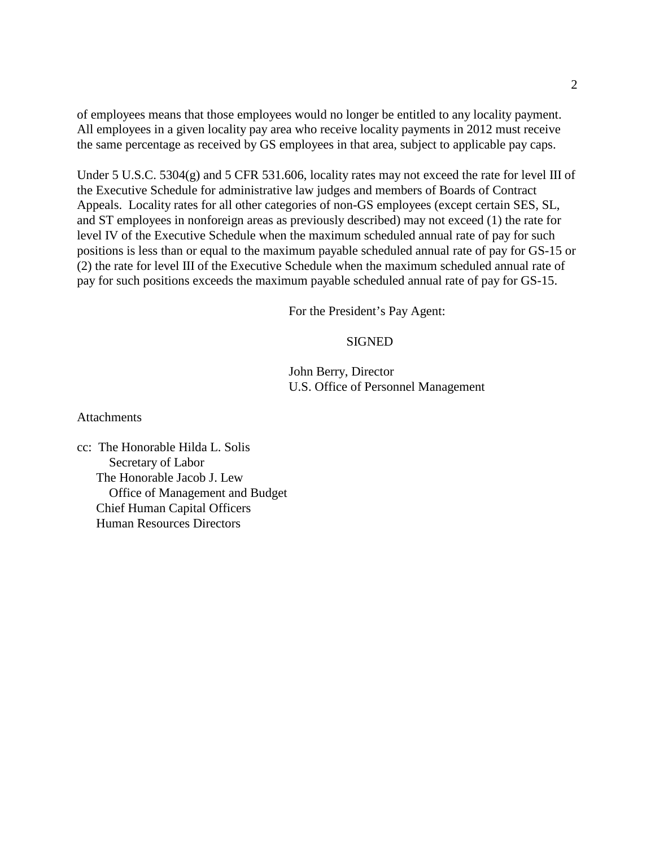of employees means that those employees would no longer be entitled to any locality payment. All employees in a given locality pay area who receive locality payments in 2012 must receive the same percentage as received by GS employees in that area, subject to applicable pay caps.

Under 5 U.S.C. 5304(g) and 5 CFR 531.606, locality rates may not exceed the rate for level III of the Executive Schedule for administrative law judges and members of Boards of Contract Appeals. Locality rates for all other categories of non-GS employees (except certain SES, SL, and ST employees in nonforeign areas as previously described) may not exceed (1) the rate for level IV of the Executive Schedule when the maximum scheduled annual rate of pay for such positions is less than or equal to the maximum payable scheduled annual rate of pay for GS-15 or (2) the rate for level III of the Executive Schedule when the maximum scheduled annual rate of pay for such positions exceeds the maximum payable scheduled annual rate of pay for GS-15.

For the President's Pay Agent:

#### SIGNED

John Berry, Director U.S. Office of Personnel Management

**Attachments** 

cc: The Honorable Hilda L. Solis Secretary of Labor The Honorable Jacob J. Lew Office of Management and Budget Chief Human Capital Officers Human Resources Directors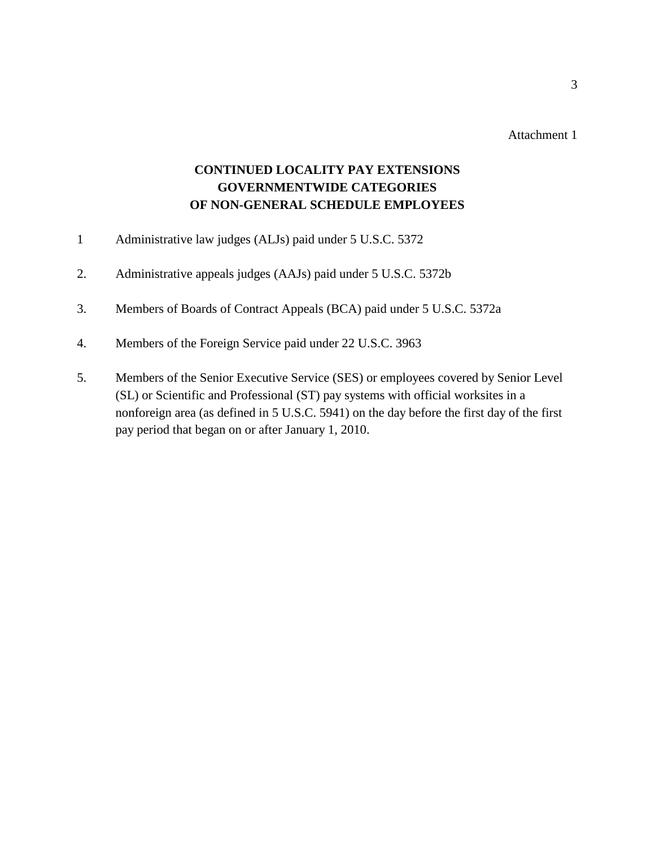Attachment 1

# **CONTINUED LOCALITY PAY EXTENSIONS GOVERNMENTWIDE CATEGORIES OF NON-GENERAL SCHEDULE EMPLOYEES**

- 1 Administrative law judges (ALJs) paid under 5 U.S.C. 5372
- 2. Administrative appeals judges (AAJs) paid under 5 U.S.C. 5372b
- 3. Members of Boards of Contract Appeals (BCA) paid under 5 U.S.C. 5372a
- 4. Members of the Foreign Service paid under 22 U.S.C. 3963
- 5. Members of the Senior Executive Service (SES) or employees covered by Senior Level (SL) or Scientific and Professional (ST) pay systems with official worksites in a nonforeign area (as defined in 5 U.S.C. 5941) on the day before the first day of the first pay period that began on or after January 1, 2010.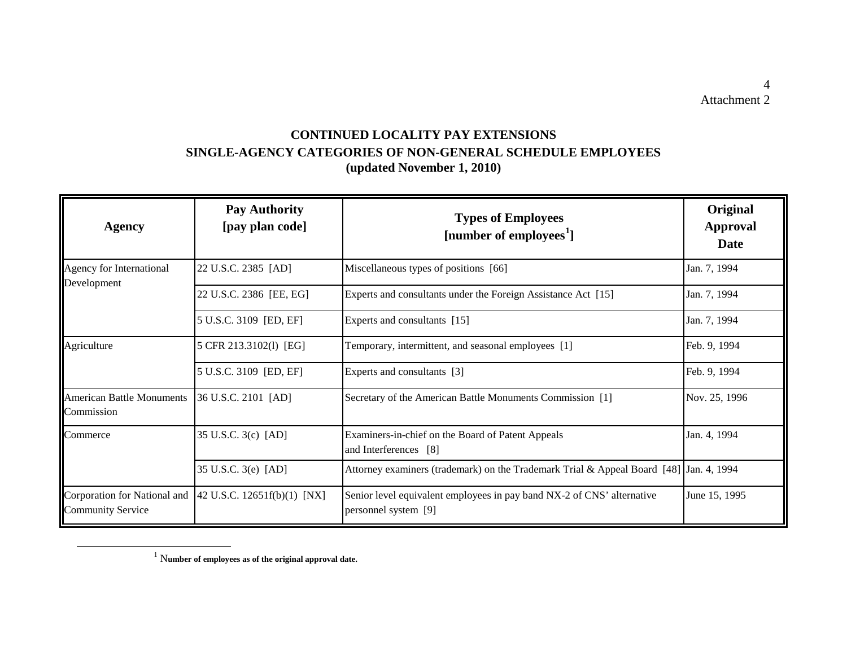# **CONTINUED LOCALITY PAY EXTENSIONS SINGLE-AGENCY CATEGORIES OF NON-GENERAL SCHEDULE EMPLOYEES (updated November 1, 2010)**

| <b>Agency</b>                                            | <b>Pay Authority</b><br>[pay plan code] | <b>Types of Employees</b><br>[number of employees <sup>1</sup> ]                               | Original<br><b>Approval</b><br>Date |
|----------------------------------------------------------|-----------------------------------------|------------------------------------------------------------------------------------------------|-------------------------------------|
| Agency for International<br>Development                  | 22 U.S.C. 2385 [AD]                     | Miscellaneous types of positions [66]                                                          | Jan. 7, 1994                        |
|                                                          | 22 U.S.C. 2386 [EE, EG]                 | Experts and consultants under the Foreign Assistance Act [15]                                  | Jan. 7, 1994                        |
|                                                          | 5 U.S.C. 3109 [ED, EF]                  | Experts and consultants [15]                                                                   | Jan. 7, 1994                        |
| Agriculture                                              | 5 CFR 213.3102(1) [EG]                  | Temporary, intermittent, and seasonal employees [1]                                            | Feb. 9, 1994                        |
|                                                          | 5 U.S.C. 3109 [ED, EF]                  | Experts and consultants [3]                                                                    | Feb. 9, 1994                        |
| <b>American Battle Monuments</b><br>Commission           | 36 U.S.C. 2101 [AD]                     | Secretary of the American Battle Monuments Commission [1]                                      | Nov. 25, 1996                       |
| Commerce                                                 | 35 U.S.C. 3(c) [AD]                     | Examiners-in-chief on the Board of Patent Appeals<br>and Interferences [8]                     | Jan. 4, 1994                        |
|                                                          | 35 U.S.C. 3(e) [AD]                     | Attorney examiners (trademark) on the Trademark Trial & Appeal Board [48] Jan. 4, 1994         |                                     |
| Corporation for National and<br><b>Community Service</b> | 42 U.S.C. 12651f(b)(1) [NX]             | Senior level equivalent employees in pay band NX-2 of CNS' alternative<br>personnel system [9] | June 15, 1995                       |

<sup>1</sup> <sup>N</sup>**umber of employees as of the original approval date.**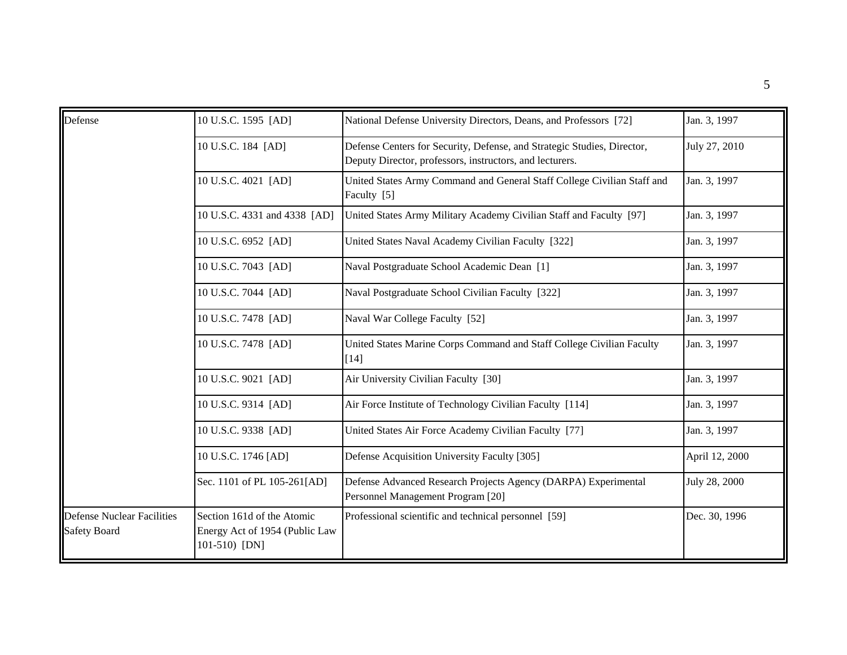| Defense                                                  | 10 U.S.C. 1595 [AD]                                                           | National Defense University Directors, Deans, and Professors [72]                                                                   | Jan. 3, 1997   |
|----------------------------------------------------------|-------------------------------------------------------------------------------|-------------------------------------------------------------------------------------------------------------------------------------|----------------|
|                                                          | 10 U.S.C. 184 [AD]                                                            | Defense Centers for Security, Defense, and Strategic Studies, Director,<br>Deputy Director, professors, instructors, and lecturers. | July 27, 2010  |
|                                                          | 10 U.S.C. 4021 [AD]                                                           | United States Army Command and General Staff College Civilian Staff and<br>Faculty [5]                                              | Jan. 3, 1997   |
|                                                          | 10 U.S.C. 4331 and 4338 [AD]                                                  | United States Army Military Academy Civilian Staff and Faculty [97]                                                                 | Jan. 3, 1997   |
|                                                          | 10 U.S.C. 6952 [AD]                                                           | United States Naval Academy Civilian Faculty [322]                                                                                  | Jan. 3, 1997   |
|                                                          | 10 U.S.C. 7043 [AD]                                                           | Naval Postgraduate School Academic Dean [1]                                                                                         | Jan. 3, 1997   |
|                                                          | 10 U.S.C. 7044 [AD]                                                           | Naval Postgraduate School Civilian Faculty [322]                                                                                    | Jan. 3, 1997   |
|                                                          | 10 U.S.C. 7478 [AD]                                                           | Naval War College Faculty [52]                                                                                                      | Jan. 3, 1997   |
|                                                          | 10 U.S.C. 7478 [AD]                                                           | United States Marine Corps Command and Staff College Civilian Faculty<br>$[14]$                                                     | Jan. 3, 1997   |
|                                                          | 10 U.S.C. 9021 [AD]                                                           | Air University Civilian Faculty [30]                                                                                                | Jan. 3, 1997   |
|                                                          | 10 U.S.C. 9314 [AD]                                                           | Air Force Institute of Technology Civilian Faculty [114]                                                                            | Jan. 3, 1997   |
|                                                          | 10 U.S.C. 9338 [AD]                                                           | United States Air Force Academy Civilian Faculty [77]                                                                               | Jan. 3, 1997   |
|                                                          | 10 U.S.C. 1746 [AD]                                                           | Defense Acquisition University Faculty [305]                                                                                        | April 12, 2000 |
|                                                          | Sec. 1101 of PL 105-261[AD]                                                   | Defense Advanced Research Projects Agency (DARPA) Experimental<br>Personnel Management Program [20]                                 | July 28, 2000  |
| <b>Defense Nuclear Facilities</b><br><b>Safety Board</b> | Section 161d of the Atomic<br>Energy Act of 1954 (Public Law<br>101-510) [DN] | Professional scientific and technical personnel [59]                                                                                | Dec. 30, 1996  |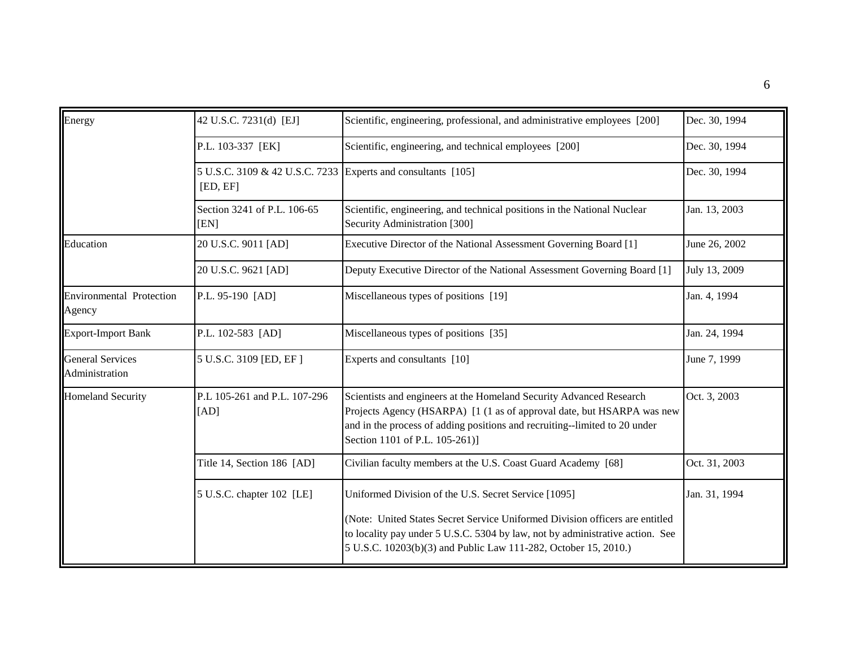| Energy                                    | 42 U.S.C. 7231(d) [EJ]                                                   | Scientific, engineering, professional, and administrative employees [200]                                                                                                                                                                                     | Dec. 30, 1994 |
|-------------------------------------------|--------------------------------------------------------------------------|---------------------------------------------------------------------------------------------------------------------------------------------------------------------------------------------------------------------------------------------------------------|---------------|
|                                           | P.L. 103-337 [EK]                                                        | Scientific, engineering, and technical employees [200]                                                                                                                                                                                                        | Dec. 30, 1994 |
|                                           | 5 U.S.C. 3109 & 42 U.S.C. 7233 Experts and consultants [105]<br>[ED, EF] |                                                                                                                                                                                                                                                               | Dec. 30, 1994 |
|                                           | Section 3241 of P.L. 106-65<br>[EN]                                      | Scientific, engineering, and technical positions in the National Nuclear<br>Security Administration [300]                                                                                                                                                     | Jan. 13, 2003 |
| Education                                 | 20 U.S.C. 9011 [AD]                                                      | Executive Director of the National Assessment Governing Board [1]                                                                                                                                                                                             | June 26, 2002 |
|                                           | 20 U.S.C. 9621 [AD]                                                      | Deputy Executive Director of the National Assessment Governing Board [1]                                                                                                                                                                                      | July 13, 2009 |
| <b>Environmental Protection</b><br>Agency | P.L. 95-190 [AD]                                                         | Miscellaneous types of positions [19]                                                                                                                                                                                                                         | Jan. 4, 1994  |
| <b>Export-Import Bank</b>                 | P.L. 102-583 [AD]                                                        | Miscellaneous types of positions [35]                                                                                                                                                                                                                         | Jan. 24, 1994 |
| <b>General Services</b><br>Administration | 5 U.S.C. 3109 [ED, EF]                                                   | Experts and consultants [10]                                                                                                                                                                                                                                  | June 7, 1999  |
| <b>Homeland Security</b>                  | P.L 105-261 and P.L. 107-296<br>[AD]                                     | Scientists and engineers at the Homeland Security Advanced Research<br>Projects Agency (HSARPA) [1 (1 as of approval date, but HSARPA was new<br>and in the process of adding positions and recruiting--limited to 20 under<br>Section 1101 of P.L. 105-261)] | Oct. 3, 2003  |
|                                           | Title 14, Section 186 [AD]                                               | Civilian faculty members at the U.S. Coast Guard Academy [68]                                                                                                                                                                                                 | Oct. 31, 2003 |
|                                           | 5 U.S.C. chapter 102 [LE]                                                | Uniformed Division of the U.S. Secret Service [1095]                                                                                                                                                                                                          | Jan. 31, 1994 |
|                                           |                                                                          | (Note: United States Secret Service Uniformed Division officers are entitled<br>to locality pay under 5 U.S.C. 5304 by law, not by administrative action. See<br>5 U.S.C. 10203(b)(3) and Public Law 111-282, October 15, 2010.)                              |               |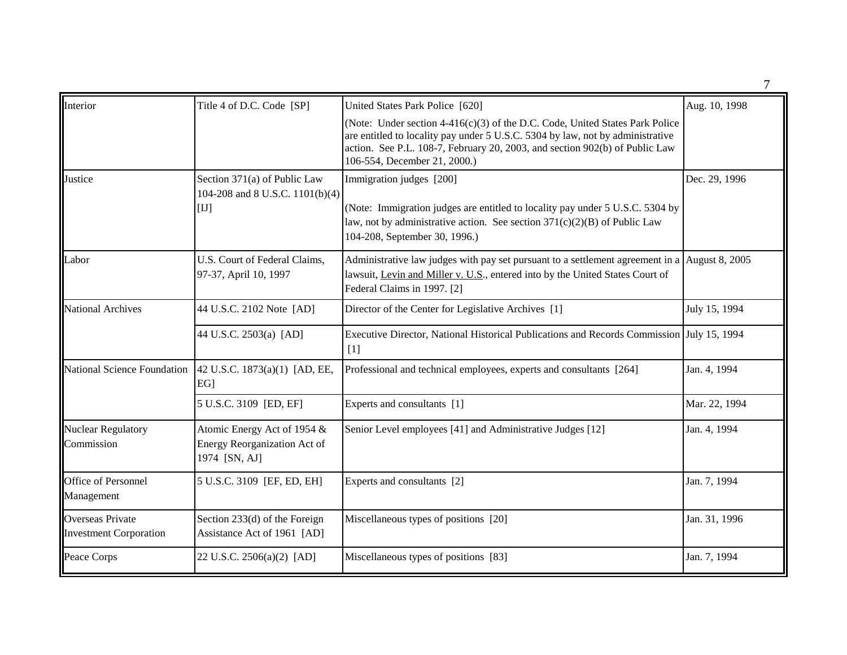| Interior                                          | Title 4 of D.C. Code [SP]                                                      | United States Park Police [620]                                                                                                                                                                                                                                                 | Aug. 10, 1998 |
|---------------------------------------------------|--------------------------------------------------------------------------------|---------------------------------------------------------------------------------------------------------------------------------------------------------------------------------------------------------------------------------------------------------------------------------|---------------|
|                                                   |                                                                                | (Note: Under section $4-416(c)(3)$ of the D.C. Code, United States Park Police<br>are entitled to locality pay under 5 U.S.C. 5304 by law, not by administrative<br>action. See P.L. 108-7, February 20, 2003, and section 902(b) of Public Law<br>106-554, December 21, 2000.) |               |
| Justice                                           | Section 371(a) of Public Law<br>104-208 and 8 U.S.C. 1101(b)(4)<br>[1]         | Immigration judges [200]<br>(Note: Immigration judges are entitled to locality pay under 5 U.S.C. 5304 by<br>law, not by administrative action. See section $371(c)(2)(B)$ of Public Law<br>104-208, September 30, 1996.)                                                       | Dec. 29, 1996 |
| Labor                                             | U.S. Court of Federal Claims,<br>97-37, April 10, 1997                         | Administrative law judges with pay set pursuant to a settlement agreement in a August 8, 2005<br>lawsuit, Levin and Miller v. U.S., entered into by the United States Court of<br>Federal Claims in 1997. [2]                                                                   |               |
| <b>National Archives</b>                          | 44 U.S.C. 2102 Note [AD]                                                       | Director of the Center for Legislative Archives [1]                                                                                                                                                                                                                             | July 15, 1994 |
|                                                   | 44 U.S.C. 2503(a) [AD]                                                         | Executive Director, National Historical Publications and Records Commission July 15, 1994<br>$[1]$                                                                                                                                                                              |               |
|                                                   | National Science Foundation   42 U.S.C. 1873(a)(1) [AD, EE,<br>EG <sub>1</sub> | Professional and technical employees, experts and consultants [264]                                                                                                                                                                                                             | Jan. 4, 1994  |
|                                                   | 5 U.S.C. 3109 [ED, EF]                                                         | Experts and consultants [1]                                                                                                                                                                                                                                                     | Mar. 22, 1994 |
| <b>Nuclear Regulatory</b><br>Commission           | Atomic Energy Act of 1954 &<br>Energy Reorganization Act of<br>1974 [SN, AJ]   | Senior Level employees [41] and Administrative Judges [12]                                                                                                                                                                                                                      | Jan. 4, 1994  |
| Office of Personnel<br>Management                 | 5 U.S.C. 3109 [EF, ED, EH]                                                     | Experts and consultants [2]                                                                                                                                                                                                                                                     | Jan. 7, 1994  |
| Overseas Private<br><b>Investment Corporation</b> | Section $233(d)$ of the Foreign<br>Assistance Act of 1961 [AD]                 | Miscellaneous types of positions [20]                                                                                                                                                                                                                                           | Jan. 31, 1996 |
| Peace Corps                                       | 22 U.S.C. 2506(a)(2) [AD]                                                      | Miscellaneous types of positions [83]                                                                                                                                                                                                                                           | Jan. 7, 1994  |

7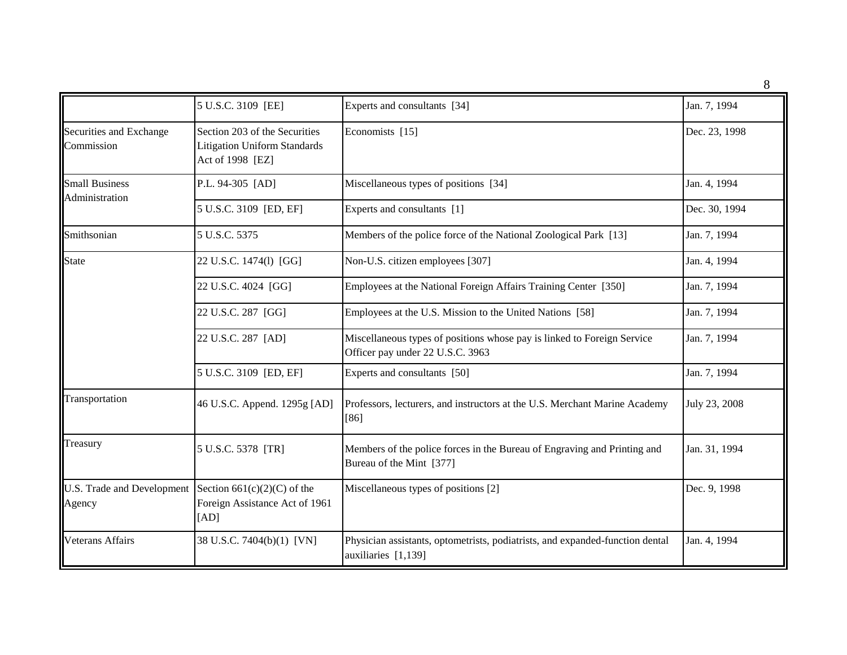8

|                                         | 5 U.S.C. 3109 [EE]                                                                       | Experts and consultants [34]                                                                                | Jan. 7, 1994  |
|-----------------------------------------|------------------------------------------------------------------------------------------|-------------------------------------------------------------------------------------------------------------|---------------|
| Securities and Exchange<br>Commission   | Section 203 of the Securities<br><b>Litigation Uniform Standards</b><br>Act of 1998 [EZ] | Economists [15]                                                                                             | Dec. 23, 1998 |
| <b>Small Business</b><br>Administration | P.L. 94-305 [AD]                                                                         | Miscellaneous types of positions [34]                                                                       | Jan. 4, 1994  |
|                                         | 5 U.S.C. 3109 [ED, EF]                                                                   | Experts and consultants [1]                                                                                 | Dec. 30, 1994 |
| Smithsonian                             | 5 U.S.C. 5375                                                                            | Members of the police force of the National Zoological Park [13]                                            | Jan. 7, 1994  |
| <b>State</b>                            | 22 U.S.C. 1474(1) [GG]                                                                   | Non-U.S. citizen employees [307]                                                                            | Jan. 4, 1994  |
|                                         | 22 U.S.C. 4024 [GG]                                                                      | Employees at the National Foreign Affairs Training Center [350]                                             | Jan. 7, 1994  |
|                                         | 22 U.S.C. 287 [GG]                                                                       | Employees at the U.S. Mission to the United Nations [58]                                                    | Jan. 7, 1994  |
|                                         | 22 U.S.C. 287 [AD]                                                                       | Miscellaneous types of positions whose pay is linked to Foreign Service<br>Officer pay under 22 U.S.C. 3963 | Jan. 7, 1994  |
|                                         | 5 U.S.C. 3109 [ED, EF]                                                                   | Experts and consultants [50]                                                                                | Jan. 7, 1994  |
| Transportation                          | 46 U.S.C. Append. 1295g [AD]                                                             | Professors, lecturers, and instructors at the U.S. Merchant Marine Academy<br>$[86]$                        | July 23, 2008 |
| Treasury                                | 5 U.S.C. 5378 [TR]                                                                       | Members of the police forces in the Bureau of Engraving and Printing and<br>Bureau of the Mint [377]        | Jan. 31, 1994 |
| U.S. Trade and Development<br>Agency    | Section $661(c)(2)(C)$ of the<br>Foreign Assistance Act of 1961<br>[AD]                  | Miscellaneous types of positions [2]                                                                        | Dec. 9, 1998  |
| <b>Veterans Affairs</b>                 | 38 U.S.C. 7404(b)(1) [VN]                                                                | Physician assistants, optometrists, podiatrists, and expanded-function dental<br>auxiliaries [1,139]        | Jan. 4, 1994  |